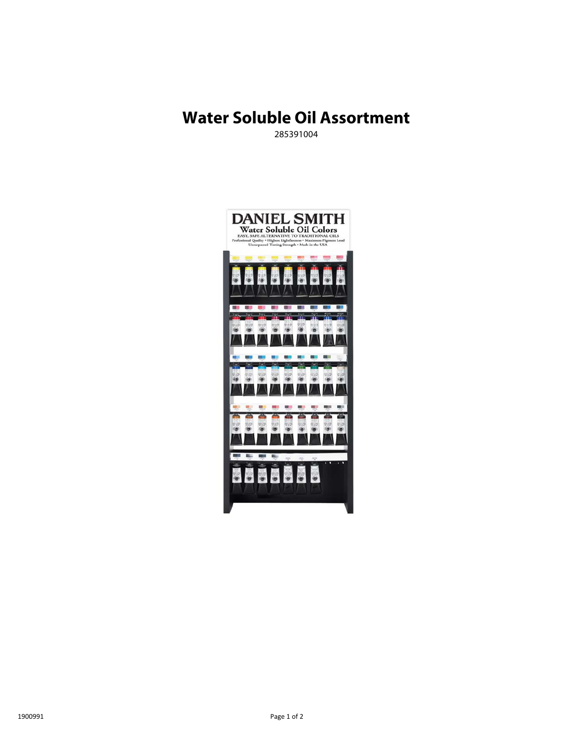# **Water Soluble Oil Assortment**